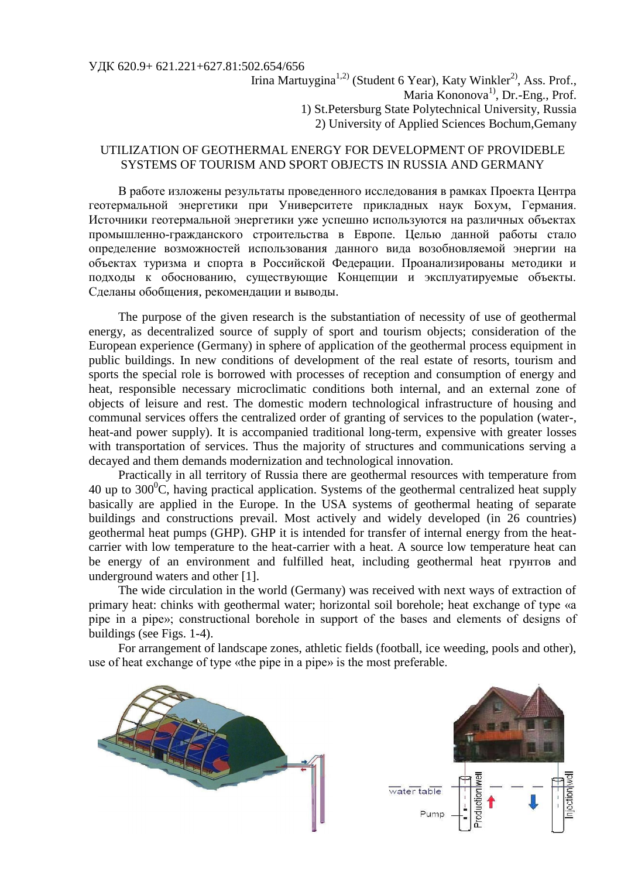## УДК 620.9+ 621.221+627.81:502.654/656

## UTILIZATION OF GEOTHERMAL ENERGY FOR DEVELOPMENT OF PROVIDEBLE SYSTEMS OF TOURISM AND SPORT OBJECTS IN RUSSIA AND GERMANY

В работе изложены результаты проведенного исследования в рамках Проекта Центра геотермальной энергетики при Университете прикладных наук Бохум, Германия. Источники геотермальной энергетики уже успешно используются на различных объектах промышленно-гражданского строительства в Европе. Целью данной работы стало определение возможностей использования данного вида возобновляемой энергии на объектах туризма и спорта в Российской Федерации. Проанализированы методики и подходы к обоснованию, существующие Концепции и эксплуатируемые объекты. Сделаны обобщения, рекомендации и выводы.

The purpose of the given research is the substantiation of necessity of use of geothermal energy, as decentralized source of supply of sport and tourism objects; consideration of the European experience (Germany) in sphere of application of the geothermal process equipment in public buildings. In new conditions of development of the real estate of resorts, tourism and sports the special role is borrowed with processes of reception and consumption of energy and heat, responsible necessary microclimatic conditions both internal, and an external zone of objects of leisure and rest. The domestic modern technological infrastructure of housing and communal services offers the centralized order of granting of services to the population (water-, heat-and power supply). It is accompanied traditional long-term, expensive with greater losses with transportation of services. Thus the majority of structures and communications serving a decayed and them demands modernization and technological innovation.

Practically in all territory of Russia there are geothermal resources with temperature from 40 up to  $300^{\circ}$ C, having practical application. Systems of the geothermal centralized heat supply basically are applied in the Europe. In the USA systems of geothermal heating of separate buildings and constructions prevail. Most actively and widely developed (in 26 countries) geothermal heat pumps (GHP). GHP it is intended for transfer of internal energy from the heatcarrier with low temperature to the heat-carrier with a heat. A source low temperature heat can be energy of an environment and fulfilled heat, including geothermal heat грунтов and underground waters and other [1].

The wide circulation in the world (Germany) was received with next ways of extraction of primary heat: chinks with geothermal water; horizontal soil borehole; heat exchange of type «a pipe in a pipe»; constructional borehole in support of the bases and elements of designs of buildings (see Figs. 1-4).

For arrangement of landscape zones, athletic fields (football, ice weeding, pools and other), use of heat exchange of type «the pipe in a pipe» is the most preferable.

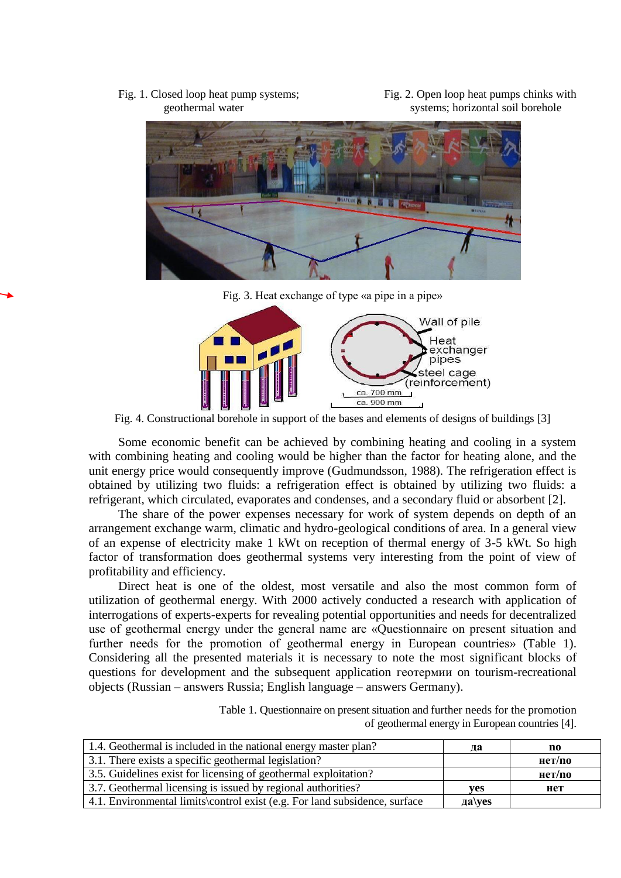Fig. 1. Closed loop heat pump systems; Fig. 2. Open loop heat pumps chinks with geothermal water systems; horizontal soil borehole



Fig. 3. Heat exchange of type «a pipe in a pipe»



Fig. 4. Constructional borehole in support of the bases and elements of designs of buildings [3]

Some economic benefit can be achieved by combining heating and cooling in a system with combining heating and cooling would be higher than the factor for heating alone, and the unit energy price would consequently improve (Gudmundsson, 1988). The refrigeration effect is obtained by utilizing two fluids: a refrigeration effect is obtained by utilizing two fluids: a refrigerant, which circulated, evaporates and condenses, and a secondary fluid or absorbent [2].

The share of the power expenses necessary for work of system depends on depth of an arrangement exchange warm, climatic and hydro-geological conditions of area. In a general view of an expense of electricity make 1 kWt on reception of thermal energy of 3-5 kWt. So high factor of transformation does geothermal systems very interesting from the point of view of profitability and efficiency.

Direct heat is one of the oldest, most versatile and also the most common form of utilization of geothermal energy. With 2000 actively conducted a research with application of interrogations of experts-experts for revealing potential opportunities and needs for decentralized use of geothermal energy under the general name are «Questionnaire on present situation and further needs for the promotion of geothermal energy in European countries» (Table 1). Considering all the presented materials it is necessary to note the most significant blocks of questions for development and the subsequent application геотермии on tourism-recreational objects (Russian – answers Russia; English language – answers Germany).

> Table 1. Questionnaire on present situation and further needs for the promotion of geothermal energy in European countries [4].

| 1.4. Geothermal is included in the national energy master plan?            | да                | no     |
|----------------------------------------------------------------------------|-------------------|--------|
| 3.1. There exists a specific geothermal legislation?                       |                   | нет/по |
| 3.5. Guidelines exist for licensing of geothermal exploitation?            |                   | нет/по |
| 3.7. Geothermal licensing is issued by regional authorities?               | ves               | нет    |
| 4.1. Environmental limits control exist (e.g. For land subsidence, surface | $\mathbf{a}$ \yes |        |